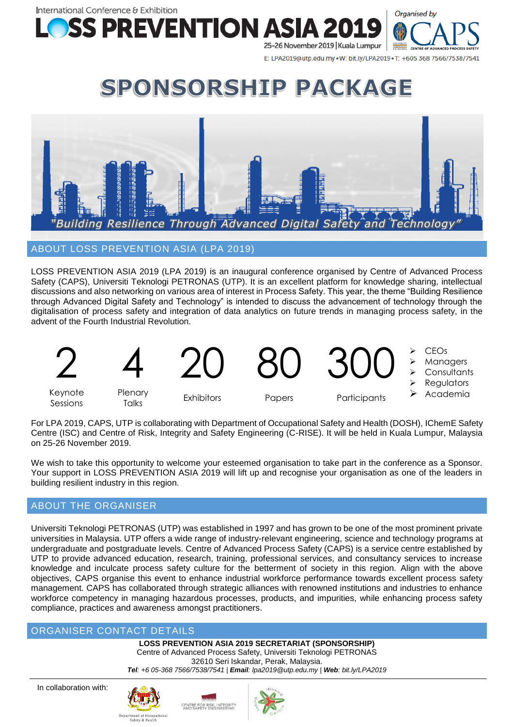International Conference & Exhibition **SS PREVENTION AS** 25-26 November 2019 | Kuala Lumpur



E: LPA2019@utp.edu.my . W: bit.ly/LPA2019 . T: +605 368 7566/7538/7541

# SPONSORSHIP PACKAGE



ABOUT LOSS PREVENTION ASIA (LPA 2019)

LOSS PREVENTION ASIA 2019 (LPA 2019) is an inaugural conference organised by Centre of Advanced Process Safety (CAPS), Universiti Teknologi PETRONAS (UTP). It is an excellent platform for knowledge sharing, intellectual discussions and also networking on various area of interest in Process Safety. This year, the theme "Building Resilience through Advanced Digital Safety and Technology" is intended to discuss the advancement of technology through the digitalisation of process safety and integration of data analytics on future trends in managing process safety, in the advent of the Fourth Industrial Revolution.



For LPA 2019, CAPS, UTP is collaborating with Department of Occupational Safety and Health (DOSH), IChemE Safety Centre (ISC) and Centre of Risk, Integrity and Safety Engineering (C-RISE). It will be held in Kuala Lumpur, Malaysia on 25-26 November 2019.

We wish to take this opportunity to welcome your esteemed organisation to take part in the conference as a Sponsor. Your support in LOSS PREVENTION ASIA 2019 will lift up and recognise your organisation as one of the leaders in building resilient industry in this region.

## ABOUT THE ORGANISER

Universiti Teknologi PETRONAS (UTP) was established in 1997 and has grown to be one of the most prominent private universities in Malaysia. UTP offers a wide range of industry-relevant engineering, science and technology programs at undergraduate and postgraduate levels. Centre of Advanced Process Safety (CAPS) is a service centre established by UTP to provide advanced education, research, training, professional services, and consultancy services to increase knowledge and inculcate process safety culture for the betterment of society in this region. Align with the above objectives, CAPS organise this event to enhance industrial workforce performance towards excellent process safety management. CAPS has collaborated through strategic alliances with renowned institutions and industries to enhance workforce competency in managing hazardous processes, products, and impurities, while enhancing process safety compliance, practices and awareness amongst practitioners.

## ORGANISER CONTACT DETAILS

**LOSS PREVENTION ASIA 2019 SECRETARIAT (SPONSORSHIP)** Centre of Advanced Process Safety, Universiti Teknologi PETRONAS 32610 Seri Iskandar, Perak, Malaysia. *Tel: +6 05-368 7566/7538/7541 | Email: lpa2019@utp.edu.my | Web: bit.ly/LPA2019*

In collaboration with:



CENTRE FOR RISK, INTEGRITY<br>AND SAFETY ENGINEERING

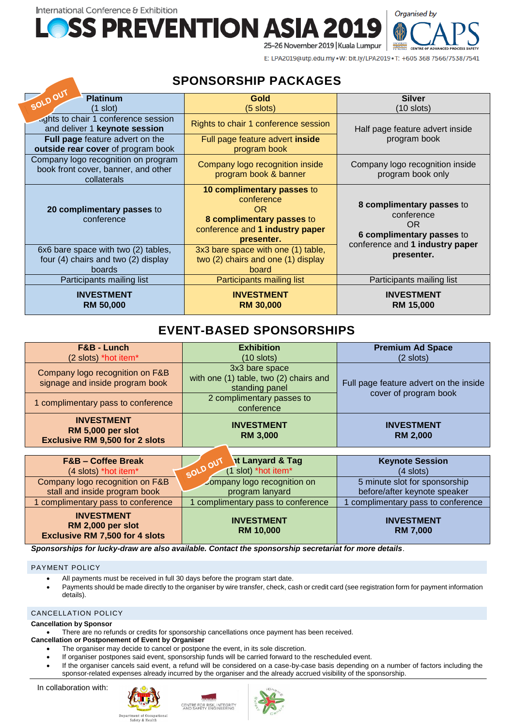International Conference & Exhibition **SS PREVENTION ASIA** 



E: LPA2019@utp.edu.my . W: bit.ly/LPA2019 . T: +605 368 7566/7538/7541

25-26 November 2019 | Kuala Lumpur

## **SPONSORSHIP PACKAGES**

| SOLDOUT<br><b>Platinum</b>                                                                | Gold                                                                                                                                | <b>Silver</b>                                                                     |
|-------------------------------------------------------------------------------------------|-------------------------------------------------------------------------------------------------------------------------------------|-----------------------------------------------------------------------------------|
| (1 slot)                                                                                  | $(5 \text{ slots})$                                                                                                                 | (10 slots)                                                                        |
| aghts to chair 1 conference session<br>and deliver 1 keynote session                      | Rights to chair 1 conference session                                                                                                | Half page feature advert inside                                                   |
| <b>Full page feature advert on the</b><br>outside rear cover of program book              | Full page feature advert inside<br>program book                                                                                     | program book                                                                      |
| Company logo recognition on program<br>book front cover, banner, and other<br>collaterals | Company logo recognition inside<br>program book & banner                                                                            | Company logo recognition inside<br>program book only                              |
| 20 complimentary passes to<br>conference                                                  | 10 complimentary passes to<br>conference<br><b>OR</b><br>8 complimentary passes to<br>conference and 1 industry paper<br>presenter. | 8 complimentary passes to<br>conference<br><b>OR</b><br>6 complimentary passes to |
| 6x6 bare space with two (2) tables,<br>four (4) chairs and two (2) display<br>boards      | 3x3 bare space with one (1) table,<br>two (2) chairs and one (1) display<br>board                                                   | conference and 1 industry paper<br>presenter.                                     |
| Participants mailing list                                                                 | Participants mailing list                                                                                                           | Participants mailing list                                                         |
| <b>INVESTMENT</b><br><b>RM 50,000</b>                                                     | <b>INVESTMENT</b><br><b>RM 30,000</b>                                                                                               | <b>INVESTMENT</b><br><b>RM 15,000</b>                                             |

## **EVENT-BASED SPONSORSHIPS**

| F&B - Lunch<br>(2 slots) *hot item*                                                    | <b>Exhibition</b><br>$(10$ slots)                                          | <b>Premium Ad Space</b><br>$(2$ slots)                          |
|----------------------------------------------------------------------------------------|----------------------------------------------------------------------------|-----------------------------------------------------------------|
| Company logo recognition on F&B<br>signage and inside program book                     | 3x3 bare space<br>with one (1) table, two (2) chairs and<br>standing panel | Full page feature advert on the inside<br>cover of program book |
| 1 complimentary pass to conference                                                     | 2 complimentary passes to<br>conference                                    |                                                                 |
| <b>INVESTMENT</b><br><b>RM 5,000 per slot</b><br><b>Exclusive RM 9,500 for 2 slots</b> | <b>INVESTMENT</b><br><b>RM 3,000</b>                                       | <b>INVESTMENT</b><br><b>RM 2,000</b>                            |
| $ESD = Coffon Drank$                                                                   | nt Lanyard & Tag<br>$\mathcal{N}$                                          | Kaynota Coccion                                                 |

| <b>F&amp;B-Coffee Break</b>                                                            | <b>at Lanyard &amp; Tag</b>           | <b>Keynote Session</b>               |
|----------------------------------------------------------------------------------------|---------------------------------------|--------------------------------------|
| (4 slots) *hot item*                                                                   | SOLDOU<br>(1 slot) *hot item*         | $(4$ slots)                          |
| Company logo recognition on F&B                                                        | company logo recognition on           | 5 minute slot for sponsorship        |
| stall and inside program book                                                          | program lanyard                       | before/after keynote speaker         |
| 1 complimentary pass to conference                                                     | 1 complimentary pass to conference    | complimentary pass to conference     |
| <b>INVESTMENT</b><br><b>RM 2,000 per slot</b><br><b>Exclusive RM 7,500 for 4 slots</b> | <b>INVESTMENT</b><br><b>RM 10,000</b> | <b>INVESTMENT</b><br><b>RM 7,000</b> |

*Sponsorships for lucky-draw are also available. Contact the sponsorship secretariat for more details*.

#### PAYMENT POLICY

- All payments must be received in full 30 days before the program start date.
- Payments should be made directly to the organiser by wire transfer, check, cash or credit card (see registration form for payment information details).

#### CANCELLATION POLICY

#### **Cancellation by Sponsor**

• There are no refunds or credits for sponsorship cancellations once payment has been received.

### **Cancellation or Postponement of Event by Organiser**

- The organiser may decide to cancel or postpone the event, in its sole discretion.
- If organiser postpones said event, sponsorship funds will be carried forward to the rescheduled event.

CENTRE FOR RISK, INTEGRITY

If the organiser cancels said event, a refund will be considered on a case-by-case basis depending on a number of factors including the sponsor-related expenses already incurred by the organiser and the already accrued visibility of the sponsorship.

In collaboration with: